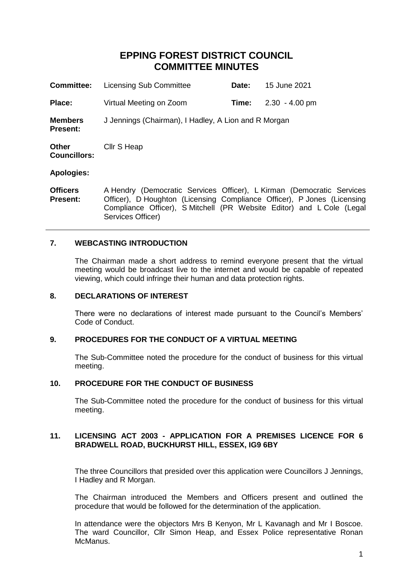# **EPPING FOREST DISTRICT COUNCIL COMMITTEE MINUTES**

| <b>Committee:</b>                   | <b>Licensing Sub Committee</b>                                | Date: | 15 June 2021     |  |
|-------------------------------------|---------------------------------------------------------------|-------|------------------|--|
| Place:                              | Virtual Meeting on Zoom                                       | Time: | $2.30 - 4.00$ pm |  |
| <b>Members</b><br><b>Present:</b>   | J Jennings (Chairman), I Hadley, A Lion and R Morgan          |       |                  |  |
| <b>Other</b><br><b>Councillors:</b> | Cllr S Heap                                                   |       |                  |  |
| <b>Apologies:</b>                   |                                                               |       |                  |  |
| <b>Officers</b>                     | A Hendry (Democratic Services Officer). L Kirman (Democration |       |                  |  |

**Officers Present:** c Services Officer), D Houghton (Licensing Compliance Officer), P Jones (Licensing Compliance Officer), S Mitchell (PR Website Editor) and L Cole (Legal Services Officer)

## **7. WEBCASTING INTRODUCTION**

The Chairman made a short address to remind everyone present that the virtual meeting would be broadcast live to the internet and would be capable of repeated viewing, which could infringe their human and data protection rights.

#### **8. DECLARATIONS OF INTEREST**

There were no declarations of interest made pursuant to the Council's Members' Code of Conduct.

## **9. PROCEDURES FOR THE CONDUCT OF A VIRTUAL MEETING**

The Sub-Committee noted the procedure for the conduct of business for this virtual meeting.

## **10. PROCEDURE FOR THE CONDUCT OF BUSINESS**

The Sub-Committee noted the procedure for the conduct of business for this virtual meeting.

## **11. LICENSING ACT 2003 - APPLICATION FOR A PREMISES LICENCE FOR 6 BRADWELL ROAD, BUCKHURST HILL, ESSEX, IG9 6BY**

The three Councillors that presided over this application were Councillors J Jennings, I Hadley and R Morgan.

The Chairman introduced the Members and Officers present and outlined the procedure that would be followed for the determination of the application.

In attendance were the objectors Mrs B Kenyon, Mr L Kavanagh and Mr I Boscoe. The ward Councillor, Cllr Simon Heap, and Essex Police representative Ronan McManus.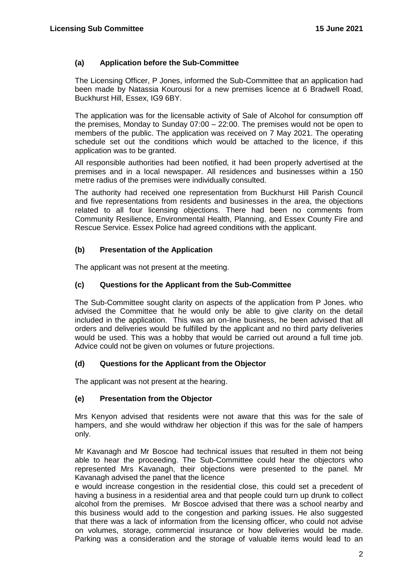# **(a) Application before the Sub-Committee**

The Licensing Officer, P Jones, informed the Sub-Committee that an application had been made by Natassia Kourousi for a new premises licence at 6 Bradwell Road, Buckhurst Hill, Essex, IG9 6BY.

The application was for the licensable activity of Sale of Alcohol for consumption off the premises, Monday to Sunday 07:00 – 22:00. The premises would not be open to members of the public. The application was received on 7 May 2021. The operating schedule set out the conditions which would be attached to the licence, if this application was to be granted.

All responsible authorities had been notified, it had been properly advertised at the premises and in a local newspaper. All residences and businesses within a 150 metre radius of the premises were individually consulted.

The authority had received one representation from Buckhurst Hill Parish Council and five representations from residents and businesses in the area, the objections related to all four licensing objections. There had been no comments from Community Resilience, Environmental Health, Planning, and Essex County Fire and Rescue Service. Essex Police had agreed conditions with the applicant.

# **(b) Presentation of the Application**

The applicant was not present at the meeting.

# **(c) Questions for the Applicant from the Sub-Committee**

The Sub-Committee sought clarity on aspects of the application from P Jones. who advised the Committee that he would only be able to give clarity on the detail included in the application. This was an on-line business, he been advised that all orders and deliveries would be fulfilled by the applicant and no third party deliveries would be used. This was a hobby that would be carried out around a full time job. Advice could not be given on volumes or future projections.

## **(d) Questions for the Applicant from the Objector**

The applicant was not present at the hearing.

## **(e) Presentation from the Objector**

Mrs Kenyon advised that residents were not aware that this was for the sale of hampers, and she would withdraw her objection if this was for the sale of hampers only.

Mr Kavanagh and Mr Boscoe had technical issues that resulted in them not being able to hear the proceeding. The Sub-Committee could hear the objectors who represented Mrs Kavanagh, their objections were presented to the panel. Mr Kavanagh advised the panel that the licence

e would increase congestion in the residential close, this could set a precedent of having a business in a residential area and that people could turn up drunk to collect alcohol from the premises. Mr Boscoe advised that there was a school nearby and this business would add to the congestion and parking issues. He also suggested that there was a lack of information from the licensing officer, who could not advise on volumes, storage, commercial insurance or how deliveries would be made. Parking was a consideration and the storage of valuable items would lead to an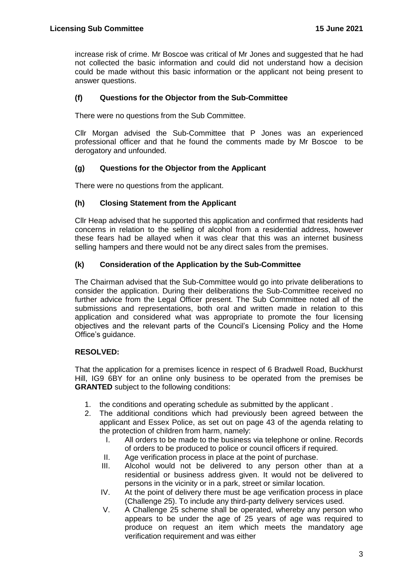increase risk of crime. Mr Boscoe was critical of Mr Jones and suggested that he had not collected the basic information and could did not understand how a decision could be made without this basic information or the applicant not being present to answer questions.

## **(f) Questions for the Objector from the Sub-Committee**

There were no questions from the Sub Committee.

Cllr Morgan advised the Sub-Committee that P Jones was an experienced professional officer and that he found the comments made by Mr Boscoe to be derogatory and unfounded.

## **(g) Questions for the Objector from the Applicant**

There were no questions from the applicant.

## **(h) Closing Statement from the Applicant**

Cllr Heap advised that he supported this application and confirmed that residents had concerns in relation to the selling of alcohol from a residential address, however these fears had be allayed when it was clear that this was an internet business selling hampers and there would not be any direct sales from the premises.

## **(k) Consideration of the Application by the Sub-Committee**

The Chairman advised that the Sub-Committee would go into private deliberations to consider the application. During their deliberations the Sub-Committee received no further advice from the Legal Officer present. The Sub Committee noted all of the submissions and representations, both oral and written made in relation to this application and considered what was appropriate to promote the four licensing objectives and the relevant parts of the Council's Licensing Policy and the Home Office's guidance.

## **RESOLVED:**

That the application for a premises licence in respect of 6 Bradwell Road, Buckhurst Hill, IG9 6BY for an online only business to be operated from the premises be **GRANTED** subject to the following conditions:

- 1. the conditions and operating schedule as submitted by the applicant .
- 2. The additional conditions which had previously been agreed between the applicant and Essex Police, as set out on page 43 of the agenda relating to the protection of children from harm, namely:
	- I. All orders to be made to the business via telephone or online. Records of orders to be produced to police or council officers if required.
	- II. Age verification process in place at the point of purchase.
	- III. Alcohol would not be delivered to any person other than at a residential or business address given. It would not be delivered to persons in the vicinity or in a park, street or similar location.
	- IV. At the point of delivery there must be age verification process in place (Challenge 25). To include any third-party delivery services used.
	- V. A Challenge 25 scheme shall be operated, whereby any person who appears to be under the age of 25 years of age was required to produce on request an item which meets the mandatory age verification requirement and was either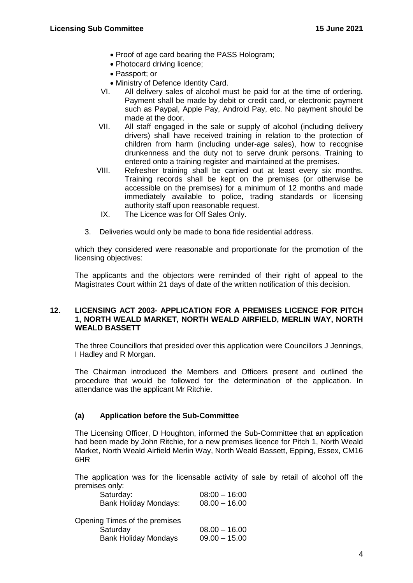- Proof of age card bearing the PASS Hologram;
- Photocard driving licence;
- Passport; or
- Ministry of Defence Identity Card.
- VI. All delivery sales of alcohol must be paid for at the time of ordering. Payment shall be made by debit or credit card, or electronic payment such as Paypal, Apple Pay, Android Pay, etc. No payment should be made at the door.
- VII. All staff engaged in the sale or supply of alcohol (including delivery drivers) shall have received training in relation to the protection of children from harm (including under-age sales), how to recognise drunkenness and the duty not to serve drunk persons. Training to entered onto a training register and maintained at the premises.
- VIII. Refresher training shall be carried out at least every six months. Training records shall be kept on the premises (or otherwise be accessible on the premises) for a minimum of 12 months and made immediately available to police, trading standards or licensing authority staff upon reasonable request.
- IX. The Licence was for Off Sales Only.
- 3. Deliveries would only be made to bona fide residential address.

which they considered were reasonable and proportionate for the promotion of the licensing objectives:

The applicants and the objectors were reminded of their right of appeal to the Magistrates Court within 21 days of date of the written notification of this decision.

#### **12. LICENSING ACT 2003- APPLICATION FOR A PREMISES LICENCE FOR PITCH 1, NORTH WEALD MARKET, NORTH WEALD AIRFIELD, MERLIN WAY, NORTH WEALD BASSETT**

The three Councillors that presided over this application were Councillors J Jennings, I Hadley and R Morgan.

The Chairman introduced the Members and Officers present and outlined the procedure that would be followed for the determination of the application. In attendance was the applicant Mr Ritchie.

## **(a) Application before the Sub-Committee**

The Licensing Officer, D Houghton, informed the Sub-Committee that an application had been made by John Ritchie, for a new premises licence for Pitch 1, North Weald Market, North Weald Airfield Merlin Way, North Weald Bassett, Epping, Essex, CM16 6HR

The application was for the licensable activity of sale by retail of alcohol off the premises only:

| Saturday:                                                                | $08:00 - 16:00$                    |
|--------------------------------------------------------------------------|------------------------------------|
| <b>Bank Holiday Mondays:</b>                                             | $08.00 - 16.00$                    |
| Opening Times of the premises<br>Saturday<br><b>Bank Holiday Mondays</b> | $08.00 - 16.00$<br>$09.00 - 15.00$ |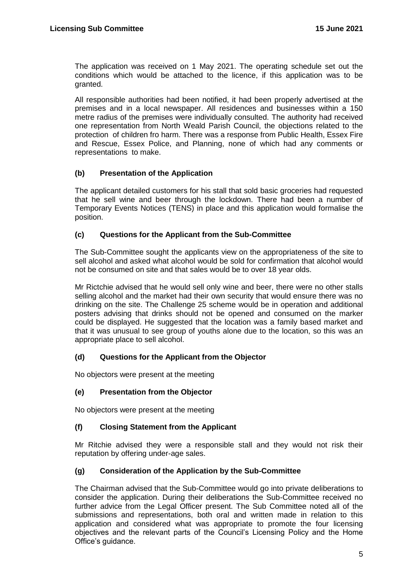The application was received on 1 May 2021. The operating schedule set out the conditions which would be attached to the licence, if this application was to be granted.

All responsible authorities had been notified, it had been properly advertised at the premises and in a local newspaper. All residences and businesses within a 150 metre radius of the premises were individually consulted. The authority had received one representation from North Weald Parish Council, the objections related to the protection of children fro harm. There was a response from Public Health, Essex Fire and Rescue, Essex Police, and Planning, none of which had any comments or representations to make.

# **(b) Presentation of the Application**

The applicant detailed customers for his stall that sold basic groceries had requested that he sell wine and beer through the lockdown. There had been a number of Temporary Events Notices (TENS) in place and this application would formalise the position.

## **(c) Questions for the Applicant from the Sub-Committee**

The Sub-Committee sought the applicants view on the appropriateness of the site to sell alcohol and asked what alcohol would be sold for confirmation that alcohol would not be consumed on site and that sales would be to over 18 year olds.

Mr Rictchie advised that he would sell only wine and beer, there were no other stalls selling alcohol and the market had their own security that would ensure there was no drinking on the site. The Challenge 25 scheme would be in operation and additional posters advising that drinks should not be opened and consumed on the marker could be displayed. He suggested that the location was a family based market and that it was unusual to see group of youths alone due to the location, so this was an appropriate place to sell alcohol.

## **(d) Questions for the Applicant from the Objector**

No objectors were present at the meeting

## **(e) Presentation from the Objector**

No objectors were present at the meeting

## **(f) Closing Statement from the Applicant**

Mr Ritchie advised they were a responsible stall and they would not risk their reputation by offering under-age sales.

## **(g) Consideration of the Application by the Sub-Committee**

The Chairman advised that the Sub-Committee would go into private deliberations to consider the application. During their deliberations the Sub-Committee received no further advice from the Legal Officer present. The Sub Committee noted all of the submissions and representations, both oral and written made in relation to this application and considered what was appropriate to promote the four licensing objectives and the relevant parts of the Council's Licensing Policy and the Home Office's guidance.